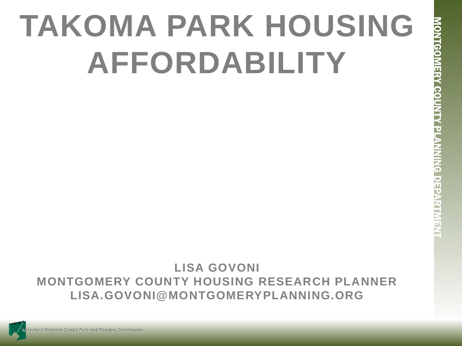# **TAKOMA PARK HOUSING AFFORDABILITY**

# **LISA GOVONI MONTGOMERY COUNTY HOUSING RESEARCH PLANNER LISA.GOVONI@MONTGOMERYPLANNING.ORG**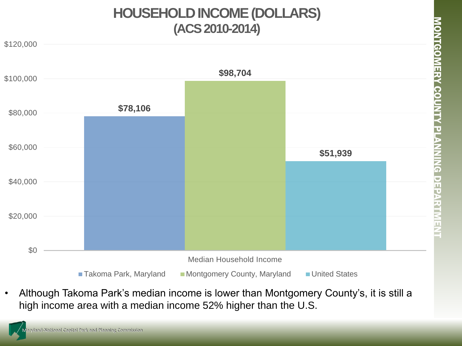#### **HOUSEHOLD INCOME (DOLLARS) (ACS 2010-2014)**



• Although Takoma Park's median income is lower than Montgomery County's, it is still a high income area with a median income 52% higher than the U.S.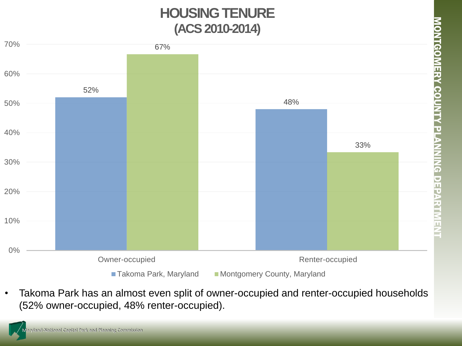## **HOUSING TENURE (ACS 2010-2014)**



• Takoma Park has an almost even split of owner-occupied and renter-occupied households (52% owner-occupied, 48% renter-occupied).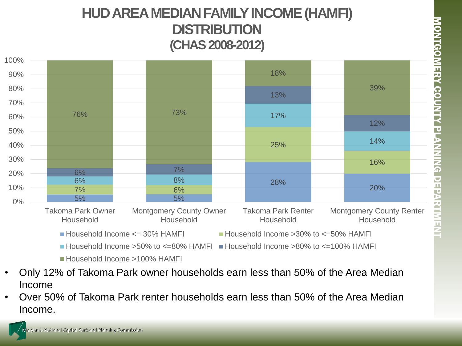#### **HUD AREA MEDIAN FAMILY INCOME (HAMFI) DISTRIBUTION (CHAS 2008-2012)**



Household Income >100% HAMFI

- Only 12% of Takoma Park owner households earn less than 50% of the Area Median Income
- Over 50% of Takoma Park renter households earn less than 50% of the Area Median Income.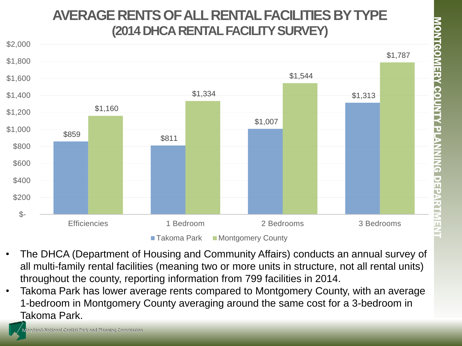#### **AVERAGE RENTS OF ALL RENTAL FACILITIES BY TYPE (2014 DHCA RENTAL FACILITY SURVEY)**



- The DHCA (Department of Housing and Community Affairs) conducts an annual survey of all multi-family rental facilities (meaning two or more units in structure, not all rental units) throughout the county, reporting information from 799 facilities in 2014.
- Takoma Park has lower average rents compared to Montgomery County, with an average 1-bedroom in Montgomery County averaging around the same cost for a 3-bedroom in Takoma Park.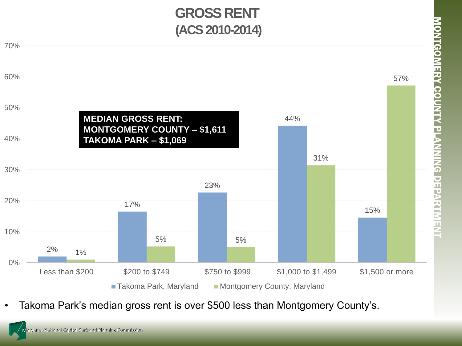

MONTGOMERY COUNTY PLANNING DEPARTMENT

<u>MONTGOMERY COUNTY PLANNING DEPARTMENT</u>



 $\blacksquare$  Takoma Park, Maryland  $\blacksquare$  Montgomery County, Maryland

• Takoma Park's median gross rent is over \$500 less than Montgomery County's.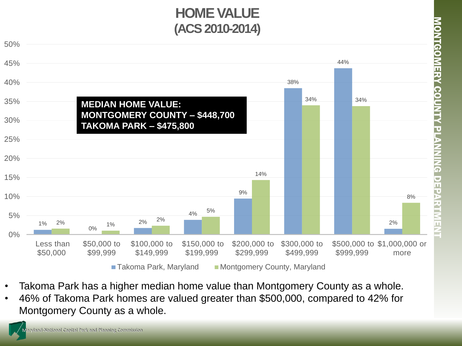## **HOME VALUE (ACS 2010-2014)**



- Takoma Park has a higher median home value than Montgomery County as a whole.
- 46% of Takoma Park homes are valued greater than \$500,000, compared to 42% for Montgomery County as a whole.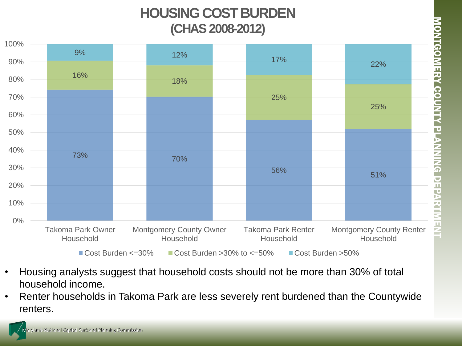## **HOUSING COST BURDEN (CHAS 2008-2012)**



- Housing analysts suggest that household costs should not be more than 30% of total household income.
- Renter households in Takoma Park are less severely rent burdened than the Countywide renters.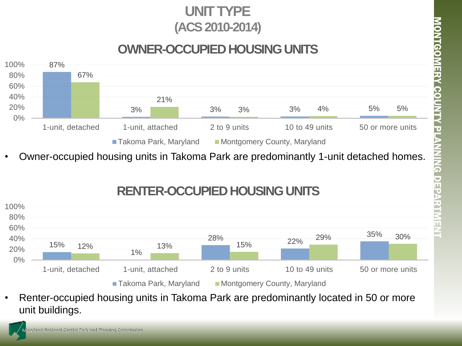#### **UNIT TYPE (ACS 2010-2014)**

#### **OWNER-OCCUPIED HOUSING UNITS**



• Owner-occupied housing units in Takoma Park are predominantly 1-unit detached homes.

#### **RENTER-OCCUPIED HOUSING UNITS**



• Renter-occupied housing units in Takoma Park are predominantly located in 50 or more unit buildings.

aryland-National Capital Park and Planning Commission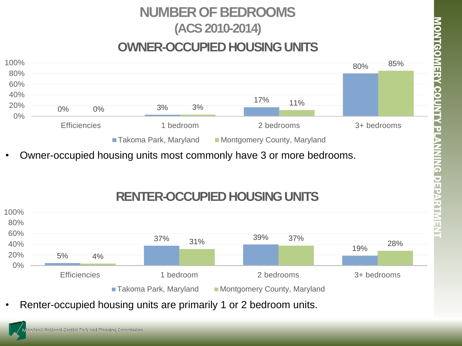# **NUMBER OF BEDROOMS (ACS 2010-2014)**

#### **OWNER-OCCUPIED HOUSING UNITS**



• Owner-occupied housing units most commonly have 3 or more bedrooms.





• Renter-occupied housing units are primarily 1 or 2 bedroom units.